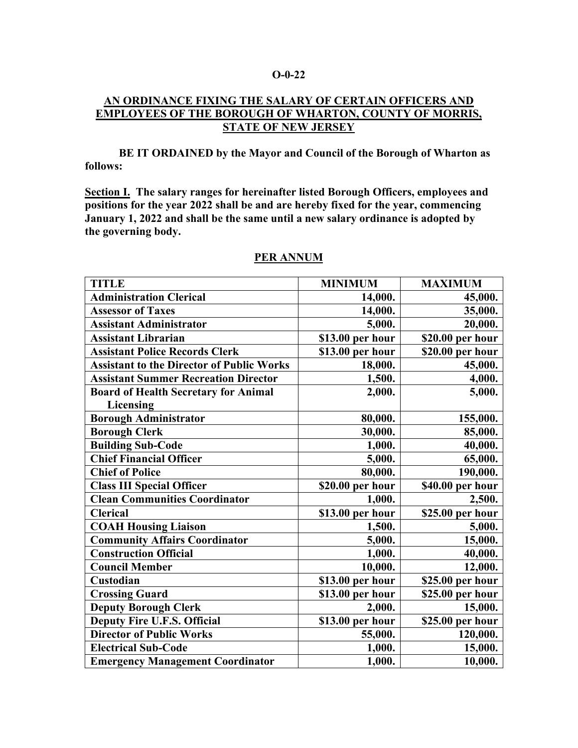### **O-0-22**

### **AN ORDINANCE FIXING THE SALARY OF CERTAIN OFFICERS AND EMPLOYEES OF THE BOROUGH OF WHARTON, COUNTY OF MORRIS, STATE OF NEW JERSEY**

**BE IT ORDAINED by the Mayor and Council of the Borough of Wharton as follows:**

**Section I. The salary ranges for hereinafter listed Borough Officers, employees and positions for the year 2022 shall be and are hereby fixed for the year, commencing January 1, 2022 and shall be the same until a new salary ordinance is adopted by the governing body.**

| <b>TITLE</b>                                     | <b>MINIMUM</b>   | <b>MAXIMUM</b>   |
|--------------------------------------------------|------------------|------------------|
| <b>Administration Clerical</b>                   | 14,000.          | 45,000.          |
| <b>Assessor of Taxes</b>                         | 14,000.          | 35,000.          |
| <b>Assistant Administrator</b>                   | 5,000.           | 20,000.          |
| <b>Assistant Librarian</b>                       | \$13.00 per hour | \$20.00 per hour |
| <b>Assistant Police Records Clerk</b>            | \$13.00 per hour | \$20.00 per hour |
| <b>Assistant to the Director of Public Works</b> | 18,000.          | 45,000.          |
| <b>Assistant Summer Recreation Director</b>      | 1,500.           | 4,000.           |
| <b>Board of Health Secretary for Animal</b>      | 2,000.           | 5,000.           |
| Licensing                                        |                  |                  |
| <b>Borough Administrator</b>                     | 80,000.          | 155,000.         |
| <b>Borough Clerk</b>                             | 30,000.          | 85,000.          |
| <b>Building Sub-Code</b>                         | 1,000.           | 40,000.          |
| <b>Chief Financial Officer</b>                   | 5,000.           | 65,000.          |
| <b>Chief of Police</b>                           | 80,000.          | 190,000.         |
| <b>Class III Special Officer</b>                 | \$20.00 per hour | \$40.00 per hour |
| <b>Clean Communities Coordinator</b>             | 1,000.           | 2,500.           |
| <b>Clerical</b>                                  | \$13.00 per hour | \$25.00 per hour |
| <b>COAH Housing Liaison</b>                      | 1,500.           | 5,000.           |
| <b>Community Affairs Coordinator</b>             | 5,000.           | 15,000.          |
| <b>Construction Official</b>                     | 1,000.           | 40,000.          |
| <b>Council Member</b>                            | 10,000.          | 12,000.          |
| Custodian                                        | \$13.00 per hour | \$25.00 per hour |
| <b>Crossing Guard</b>                            | \$13.00 per hour | \$25.00 per hour |
| <b>Deputy Borough Clerk</b>                      | 2,000.           | 15,000.          |
| <b>Deputy Fire U.F.S. Official</b>               | \$13.00 per hour | \$25.00 per hour |
| <b>Director of Public Works</b>                  | 55,000.          | 120,000.         |
| <b>Electrical Sub-Code</b>                       | 1,000.           | 15,000.          |
| <b>Emergency Management Coordinator</b>          | 1,000.           | 10,000.          |

### **PER ANNUM**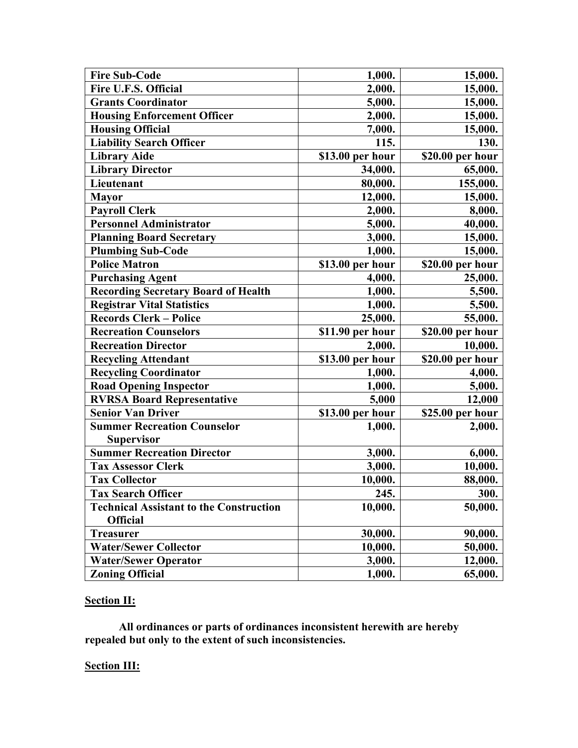| <b>Fire Sub-Code</b>                           | 1,000.           | 15,000.          |
|------------------------------------------------|------------------|------------------|
| Fire U.F.S. Official                           | 2,000.           | 15,000.          |
| <b>Grants Coordinator</b>                      | 5,000.           | 15,000.          |
| <b>Housing Enforcement Officer</b>             | 2,000.           | 15,000.          |
| <b>Housing Official</b>                        | 7,000.           | 15,000.          |
| <b>Liability Search Officer</b>                | 115.             | 130.             |
| <b>Library Aide</b>                            | \$13.00 per hour | \$20.00 per hour |
| <b>Library Director</b>                        | 34,000.          | 65,000.          |
| Lieutenant                                     | 80,000.          | 155,000.         |
| <b>Mayor</b>                                   | 12,000.          | 15,000.          |
| <b>Payroll Clerk</b>                           | 2,000.           | 8,000.           |
| <b>Personnel Administrator</b>                 | 5,000.           | 40,000.          |
| <b>Planning Board Secretary</b>                | 3,000.           | 15,000.          |
| <b>Plumbing Sub-Code</b>                       | 1,000.           | 15,000.          |
| <b>Police Matron</b>                           | \$13.00 per hour | \$20.00 per hour |
| <b>Purchasing Agent</b>                        | 4,000.           | 25,000.          |
| <b>Recording Secretary Board of Health</b>     | 1,000.           | 5,500.           |
| <b>Registrar Vital Statistics</b>              | 1,000.           | 5,500.           |
| <b>Records Clerk - Police</b>                  | 25,000.          | 55,000.          |
| <b>Recreation Counselors</b>                   | \$11.90 per hour | \$20.00 per hour |
| <b>Recreation Director</b>                     | 2,000.           | 10,000.          |
| <b>Recycling Attendant</b>                     | \$13.00 per hour | \$20.00 per hour |
| <b>Recycling Coordinator</b>                   | 1,000.           | 4,000.           |
| <b>Road Opening Inspector</b>                  | 1,000.           | 5,000.           |
| <b>RVRSA Board Representative</b>              | 5,000            | 12,000           |
| <b>Senior Van Driver</b>                       | \$13.00 per hour | \$25.00 per hour |
| <b>Summer Recreation Counselor</b>             | 1,000.           | 2,000.           |
| <b>Supervisor</b>                              |                  |                  |
| <b>Summer Recreation Director</b>              | 3,000.           | 6,000.           |
| <b>Tax Assessor Clerk</b>                      | 3,000.           | 10,000.          |
| <b>Tax Collector</b>                           | 10,000.          | 88,000.          |
| <b>Tax Search Officer</b>                      | 245.             | <b>300.</b>      |
| <b>Technical Assistant to the Construction</b> | 10,000.          | 50,000.          |
| <b>Official</b>                                |                  |                  |
| <b>Treasurer</b>                               | 30,000.          | 90,000.          |
| <b>Water/Sewer Collector</b>                   | 10,000.          | 50,000.          |
| <b>Water/Sewer Operator</b>                    | 3,000.           | 12,000.          |
| <b>Zoning Official</b>                         | 1,000.           | 65,000.          |

# **Section II:**

**All ordinances or parts of ordinances inconsistent herewith are hereby repealed but only to the extent of such inconsistencies.**

## **Section III:**